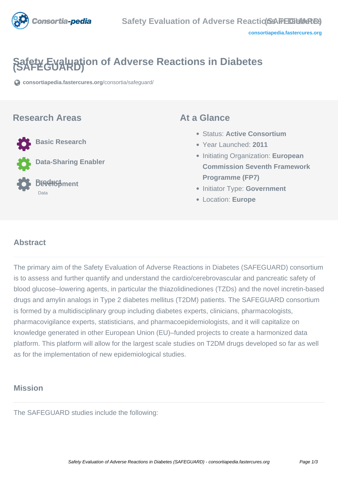

# **Safety Evaluation of Adverse Reactions in Diabetes (SAFEGUARD)**

**[consortiapedia.fastercures.org](https://consortiapedia.fastercures.org/consortia/safeguard/)**[/consortia/safeguard/](https://consortiapedia.fastercures.org/consortia/safeguard/)

#### **Research Areas**



#### **At a Glance**

- Status: **Active Consortium**
- Year Launched: **2011**
- Initiating Organization: **European Commission Seventh Framework Programme (FP7)**
- **Initiator Type: Government**
- Location: **Europe**

#### $\overline{a}$ **Abstract**

The primary aim of the Safety Evaluation of Adverse Reactions in Diabetes (SAFEGUARD) consortium is to assess and further quantify and understand the cardio/cerebrovascular and pancreatic safety of blood glucose–lowering agents, in particular the thiazolidinediones (TZDs) and the novel incretin-based drugs and amylin analogs in Type 2 diabetes mellitus (T2DM) patients. The SAFEGUARD consortium is formed by a multidisciplinary group including diabetes experts, clinicians, pharmacologists, pharmacovigilance experts, statisticians, and pharmacoepidemiologists, and it will capitalize on knowledge generated in other European Union (EU)–funded projects to create a harmonized data platform. This platform will allow for the largest scale studies on T2DM drugs developed so far as well as for the implementation of new epidemiological studies.

## **Mission**

The SAFEGUARD studies include the following: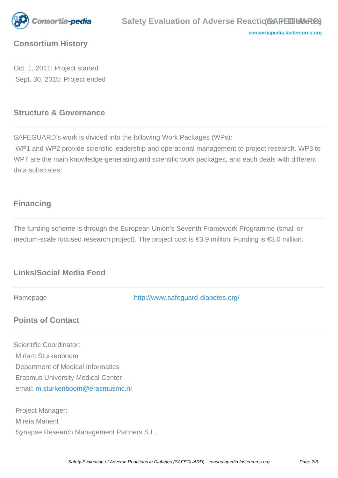

**[consortiapedia.fastercures.org](http://consortiapedia.fastercures.org/)**

## **Consortium History**

Oct. 1, 2011: Project started Sept. 30, 2015: Project ended

## **Structure & Governance**

SAFEGUARD's work is divided into the following Work Packages (WPs):

 WP1 and WP2 provide scientific leadership and operational management to project research. WP3 to WP7 are the main knowledge-generating and scientific work packages, and each deals with different data substrates:

### **Financing**

Mireia Manent

Synapse Research Management Partners S.L.

The funding scheme is through the European Union's Seventh Framework Programme (small or medium-scale focused research project). The project cost is €3.9 million. Funding is €3.0 million.

## **Links/Social Media Feed**

Homepage <http://www.safeguard-diabetes.org/> **Points of Contact** Scientific Coordinator: Miriam Sturkenboom Department of Medical Informatics Erasmus University Medical Center email: [m.sturkenboom@erasmusmc.nl](mailto:m.sturkenboom@erasmusmc.nl) Project Manager:

Safety Evaluation of Adverse Reactions in Diabetes (SAFEGUARD) - consortiapedia.fastercures.org Page 2/3